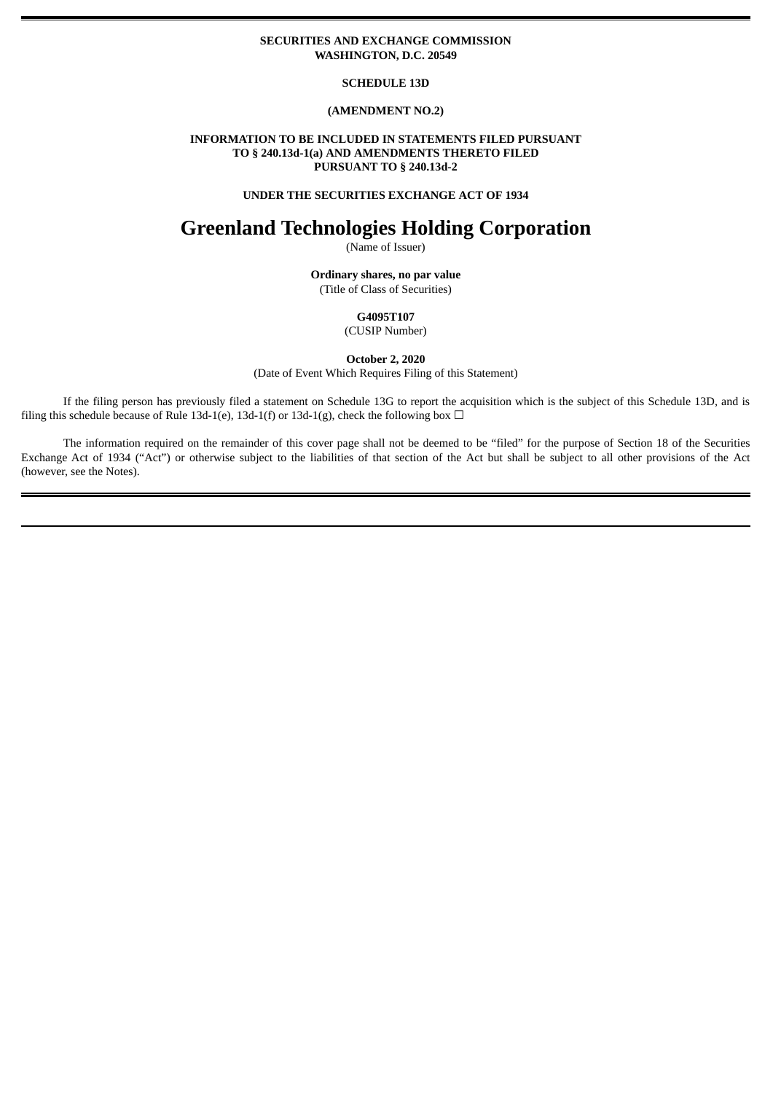## **SECURITIES AND EXCHANGE COMMISSION WASHINGTON, D.C. 20549**

## **SCHEDULE 13D**

# **(AMENDMENT NO.2)**

## **INFORMATION TO BE INCLUDED IN STATEMENTS FILED PURSUANT TO § 240.13d-1(a) AND AMENDMENTS THERETO FILED PURSUANT TO § 240.13d-2**

## **UNDER THE SECURITIES EXCHANGE ACT OF 1934**

# **Greenland Technologies Holding Corporation**

(Name of Issuer)

**Ordinary shares, no par value** (Title of Class of Securities)

> **G4095T107** (CUSIP Number)

**October 2, 2020**

(Date of Event Which Requires Filing of this Statement)

If the filing person has previously filed a statement on Schedule 13G to report the acquisition which is the subject of this Schedule 13D, and is filing this schedule because of Rule 13d-1(e), 13d-1(f) or 13d-1(g), check the following box  $\Box$ 

The information required on the remainder of this cover page shall not be deemed to be "filed" for the purpose of Section 18 of the Securities Exchange Act of 1934 ("Act") or otherwise subject to the liabilities of that section of the Act but shall be subject to all other provisions of the Act (however, see the Notes).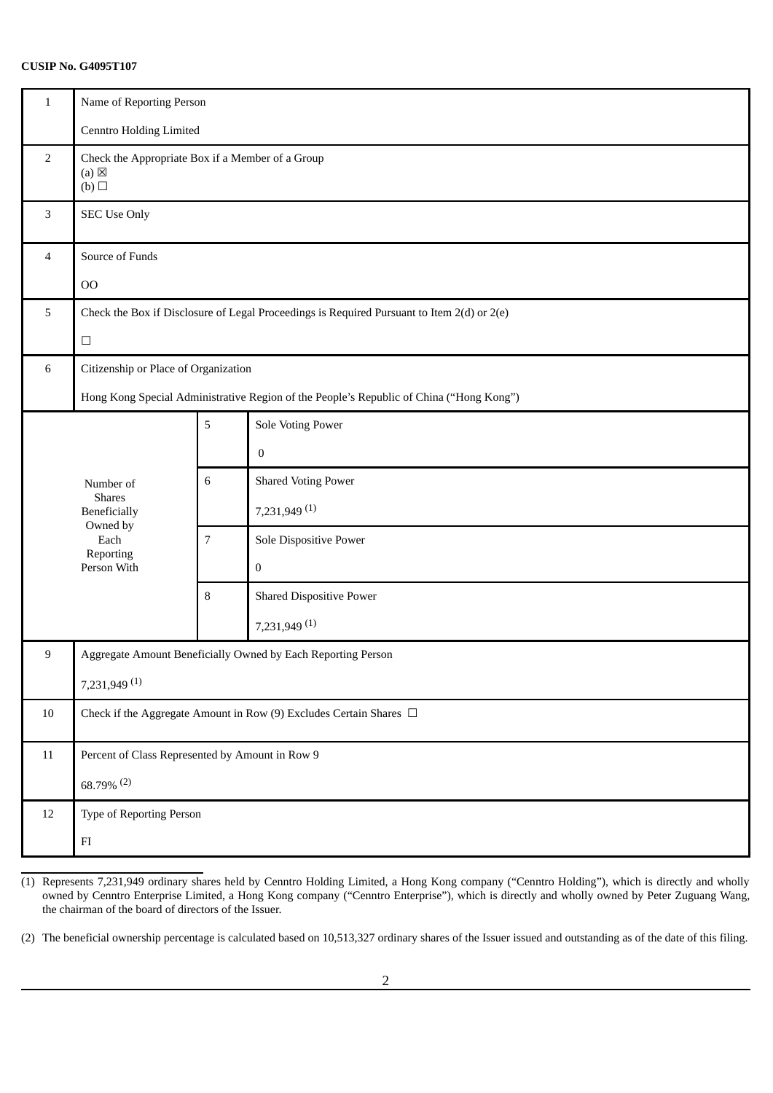# **CUSIP No. G4095T107**

| $\mathbf{1}$                                                                            | Name of Reporting Person                                                                   |                          |                                                              |  |  |  |
|-----------------------------------------------------------------------------------------|--------------------------------------------------------------------------------------------|--------------------------|--------------------------------------------------------------|--|--|--|
|                                                                                         |                                                                                            |                          |                                                              |  |  |  |
|                                                                                         | <b>Cenntro Holding Limited</b>                                                             |                          |                                                              |  |  |  |
| 2                                                                                       | Check the Appropriate Box if a Member of a Group<br>$(a) \boxtimes$<br>(b)                 |                          |                                                              |  |  |  |
| 3                                                                                       | <b>SEC Use Only</b>                                                                        |                          |                                                              |  |  |  |
| 4                                                                                       | Source of Funds                                                                            |                          |                                                              |  |  |  |
|                                                                                         | O <sub>O</sub>                                                                             |                          |                                                              |  |  |  |
| 5                                                                                       | Check the Box if Disclosure of Legal Proceedings is Required Pursuant to Item 2(d) or 2(e) |                          |                                                              |  |  |  |
|                                                                                         | $\Box$                                                                                     |                          |                                                              |  |  |  |
| 6                                                                                       | Citizenship or Place of Organization                                                       |                          |                                                              |  |  |  |
| Hong Kong Special Administrative Region of the People's Republic of China ("Hong Kong") |                                                                                            |                          |                                                              |  |  |  |
|                                                                                         |                                                                                            | 5                        | Sole Voting Power                                            |  |  |  |
|                                                                                         |                                                                                            |                          | $\boldsymbol{0}$                                             |  |  |  |
|                                                                                         | Number of                                                                                  | $\,6\,$                  | <b>Shared Voting Power</b>                                   |  |  |  |
|                                                                                         | <b>Shares</b><br>Beneficially                                                              |                          | 7,231,949 (1)                                                |  |  |  |
|                                                                                         | Owned by<br>Each                                                                           | $\overline{7}$           | Sole Dispositive Power                                       |  |  |  |
|                                                                                         | Reporting<br>Person With                                                                   |                          | $\boldsymbol{0}$                                             |  |  |  |
|                                                                                         |                                                                                            | 8                        | <b>Shared Dispositive Power</b>                              |  |  |  |
|                                                                                         |                                                                                            |                          | 7,231,949 (1)                                                |  |  |  |
| 9                                                                                       |                                                                                            |                          | Aggregate Amount Beneficially Owned by Each Reporting Person |  |  |  |
|                                                                                         | 7,231,949 (1)                                                                              |                          |                                                              |  |  |  |
| $10\,$                                                                                  | Check if the Aggregate Amount in Row (9) Excludes Certain Shares $\Box$                    |                          |                                                              |  |  |  |
| 11                                                                                      | Percent of Class Represented by Amount in Row 9                                            |                          |                                                              |  |  |  |
|                                                                                         | $68.79\%$ <sup>(2)</sup>                                                                   |                          |                                                              |  |  |  |
| 12                                                                                      |                                                                                            | Type of Reporting Person |                                                              |  |  |  |
|                                                                                         | ${\rm FI}$                                                                                 |                          |                                                              |  |  |  |

<sup>(1)</sup> Represents 7,231,949 ordinary shares held by Cenntro Holding Limited, a Hong Kong company ("Cenntro Holding"), which is directly and wholly owned by Cenntro Enterprise Limited, a Hong Kong company ("Cenntro Enterprise"), which is directly and wholly owned by Peter Zuguang Wang, the chairman of the board of directors of the Issuer.

<sup>(2)</sup> The beneficial ownership percentage is calculated based on 10,513,327 ordinary shares of the Issuer issued and outstanding as of the date of this filing.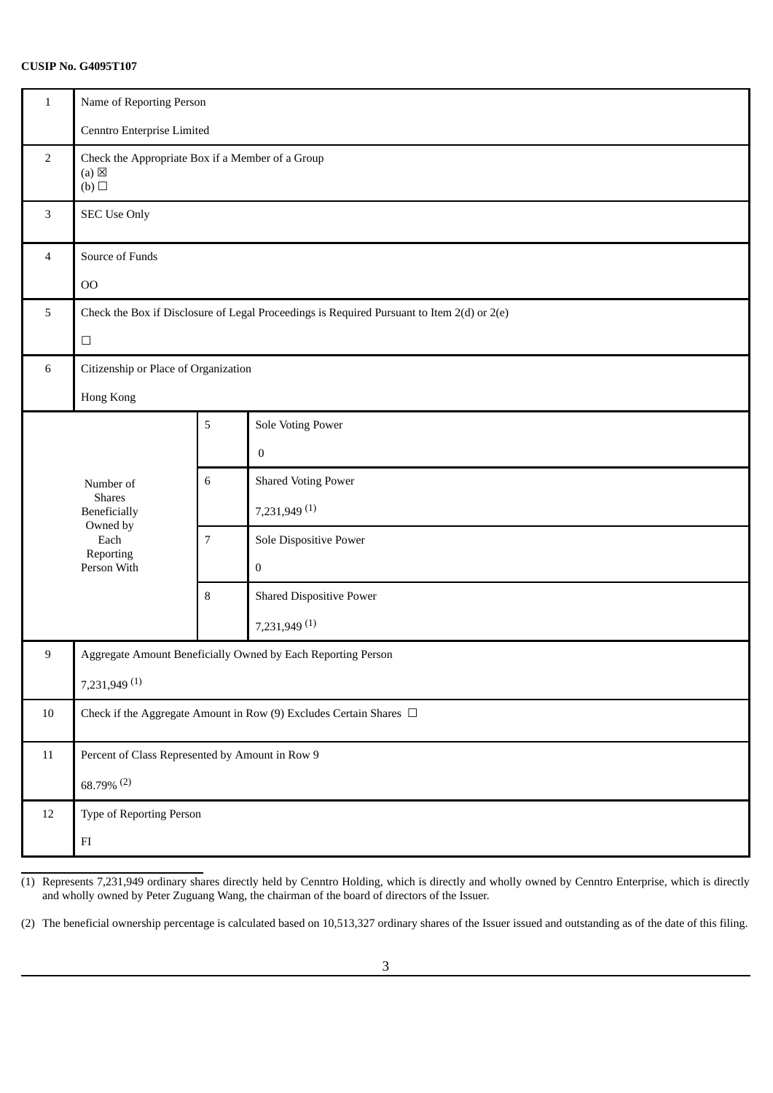# **CUSIP No. G4095T107**

| $\mathbf{1}$   | Name of Reporting Person                                                                   |                |                                                              |  |  |  |
|----------------|--------------------------------------------------------------------------------------------|----------------|--------------------------------------------------------------|--|--|--|
|                | Cenntro Enterprise Limited                                                                 |                |                                                              |  |  |  |
| 2              | Check the Appropriate Box if a Member of a Group<br>$(a) \boxtimes$<br>(b)                 |                |                                                              |  |  |  |
| 3              | <b>SEC Use Only</b>                                                                        |                |                                                              |  |  |  |
| $\overline{4}$ | Source of Funds                                                                            |                |                                                              |  |  |  |
|                | O <sub>O</sub>                                                                             |                |                                                              |  |  |  |
| 5              | Check the Box if Disclosure of Legal Proceedings is Required Pursuant to Item 2(d) or 2(e) |                |                                                              |  |  |  |
|                | $\Box$                                                                                     |                |                                                              |  |  |  |
| 6              | Citizenship or Place of Organization                                                       |                |                                                              |  |  |  |
|                | Hong Kong                                                                                  |                |                                                              |  |  |  |
|                |                                                                                            | 5              | <b>Sole Voting Power</b>                                     |  |  |  |
|                |                                                                                            |                | $\boldsymbol{0}$                                             |  |  |  |
|                | Number of                                                                                  | $\,6\,$        | <b>Shared Voting Power</b>                                   |  |  |  |
|                | <b>Shares</b><br>Beneficially<br>Owned by<br>Each<br>Reporting<br>Person With              |                | 7,231,949 (1)                                                |  |  |  |
|                |                                                                                            | $\overline{7}$ | Sole Dispositive Power                                       |  |  |  |
|                |                                                                                            |                | $\boldsymbol{0}$                                             |  |  |  |
|                |                                                                                            | 8              | <b>Shared Dispositive Power</b>                              |  |  |  |
|                |                                                                                            |                | 7,231,949 (1)                                                |  |  |  |
| 9              |                                                                                            |                | Aggregate Amount Beneficially Owned by Each Reporting Person |  |  |  |
|                | 7,231,949 (1)                                                                              |                |                                                              |  |  |  |
| $10\,$         | Check if the Aggregate Amount in Row (9) Excludes Certain Shares $\Box$                    |                |                                                              |  |  |  |
| 11             | Percent of Class Represented by Amount in Row 9                                            |                |                                                              |  |  |  |
|                | 68.79% (2)                                                                                 |                |                                                              |  |  |  |
| 12             |                                                                                            |                |                                                              |  |  |  |
|                | ${\rm FI}$                                                                                 |                |                                                              |  |  |  |

(1) Represents 7,231,949 ordinary shares directly held by Cenntro Holding, which is directly and wholly owned by Cenntro Enterprise, which is directly and wholly owned by Peter Zuguang Wang, the chairman of the board of directors of the Issuer.

(2) The beneficial ownership percentage is calculated based on 10,513,327 ordinary shares of the Issuer issued and outstanding as of the date of this filing.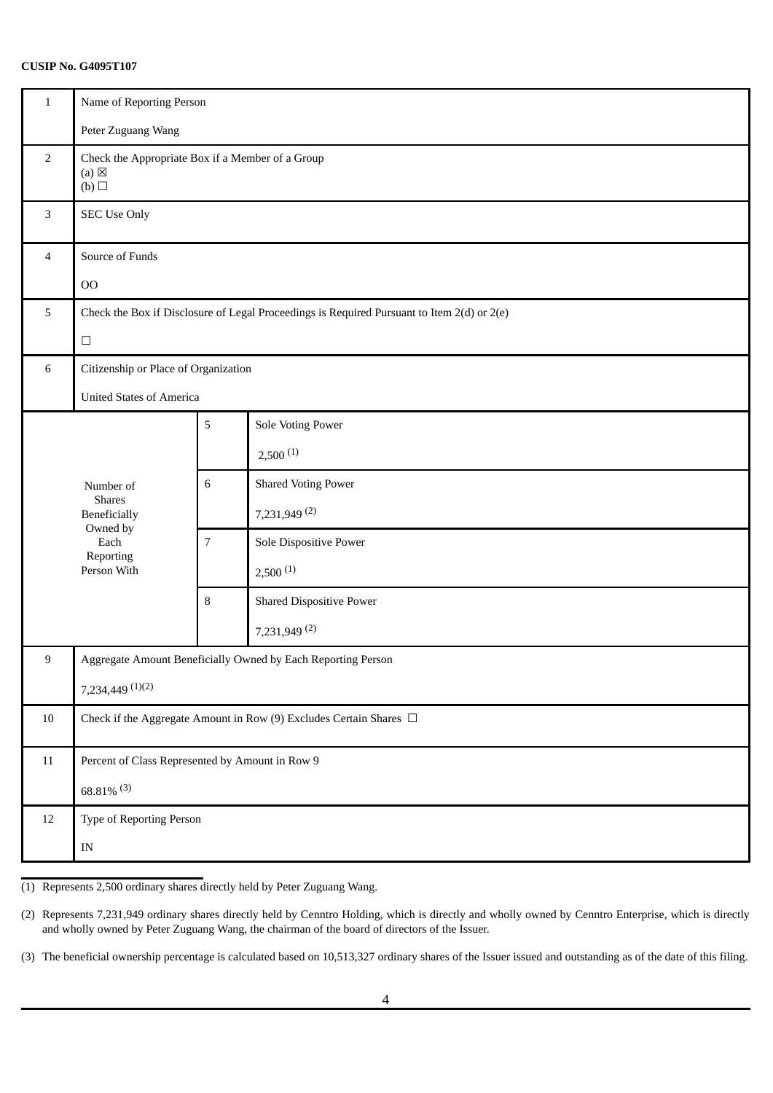# **CUSIP No. G4095T107**

| $\mathbf{1}$   | Name of Reporting Person                                                                   |   |                                                              |  |  |  |
|----------------|--------------------------------------------------------------------------------------------|---|--------------------------------------------------------------|--|--|--|
|                | Peter Zuguang Wang                                                                         |   |                                                              |  |  |  |
| $\overline{2}$ | Check the Appropriate Box if a Member of a Group<br>$(a) \boxtimes$<br>(b)                 |   |                                                              |  |  |  |
| $\mathbf{3}$   | <b>SEC Use Only</b>                                                                        |   |                                                              |  |  |  |
| $\overline{4}$ | Source of Funds                                                                            |   |                                                              |  |  |  |
|                | O <sub>O</sub>                                                                             |   |                                                              |  |  |  |
| 5              | Check the Box if Disclosure of Legal Proceedings is Required Pursuant to Item 2(d) or 2(e) |   |                                                              |  |  |  |
|                | $\Box$                                                                                     |   |                                                              |  |  |  |
| 6              | Citizenship or Place of Organization                                                       |   |                                                              |  |  |  |
|                | <b>United States of America</b>                                                            |   |                                                              |  |  |  |
|                |                                                                                            | 5 | <b>Sole Voting Power</b>                                     |  |  |  |
|                |                                                                                            |   | 2,500(1)                                                     |  |  |  |
|                | Number of                                                                                  | 6 | <b>Shared Voting Power</b>                                   |  |  |  |
|                | <b>Shares</b><br>Beneficially                                                              |   | 7,231,949 (2)                                                |  |  |  |
|                | Owned by<br>Each                                                                           | 7 | Sole Dispositive Power                                       |  |  |  |
|                | Reporting<br>Person With                                                                   |   | 2,500(1)                                                     |  |  |  |
|                |                                                                                            | 8 | <b>Shared Dispositive Power</b>                              |  |  |  |
|                |                                                                                            |   | 7,231,949 (2)                                                |  |  |  |
| 9              |                                                                                            |   | Aggregate Amount Beneficially Owned by Each Reporting Person |  |  |  |
|                | $7,234,449$ $(1)(2)$                                                                       |   |                                                              |  |  |  |
| 10             | Check if the Aggregate Amount in Row (9) Excludes Certain Shares $\Box$                    |   |                                                              |  |  |  |
| $11\,$         | Percent of Class Represented by Amount in Row 9                                            |   |                                                              |  |  |  |
|                | $68.81\%$ <sup>(3)</sup>                                                                   |   |                                                              |  |  |  |
| 12             | Type of Reporting Person                                                                   |   |                                                              |  |  |  |
|                | $\ensuremath{\text{IN}}$                                                                   |   |                                                              |  |  |  |

(1) Represents 2,500 ordinary shares directly held by Peter Zuguang Wang.

(2) Represents 7,231,949 ordinary shares directly held by Cenntro Holding, which is directly and wholly owned by Cenntro Enterprise, which is directly and wholly owned by Peter Zuguang Wang, the chairman of the board of directors of the Issuer.

(3) The beneficial ownership percentage is calculated based on 10,513,327 ordinary shares of the Issuer issued and outstanding as of the date of this filing.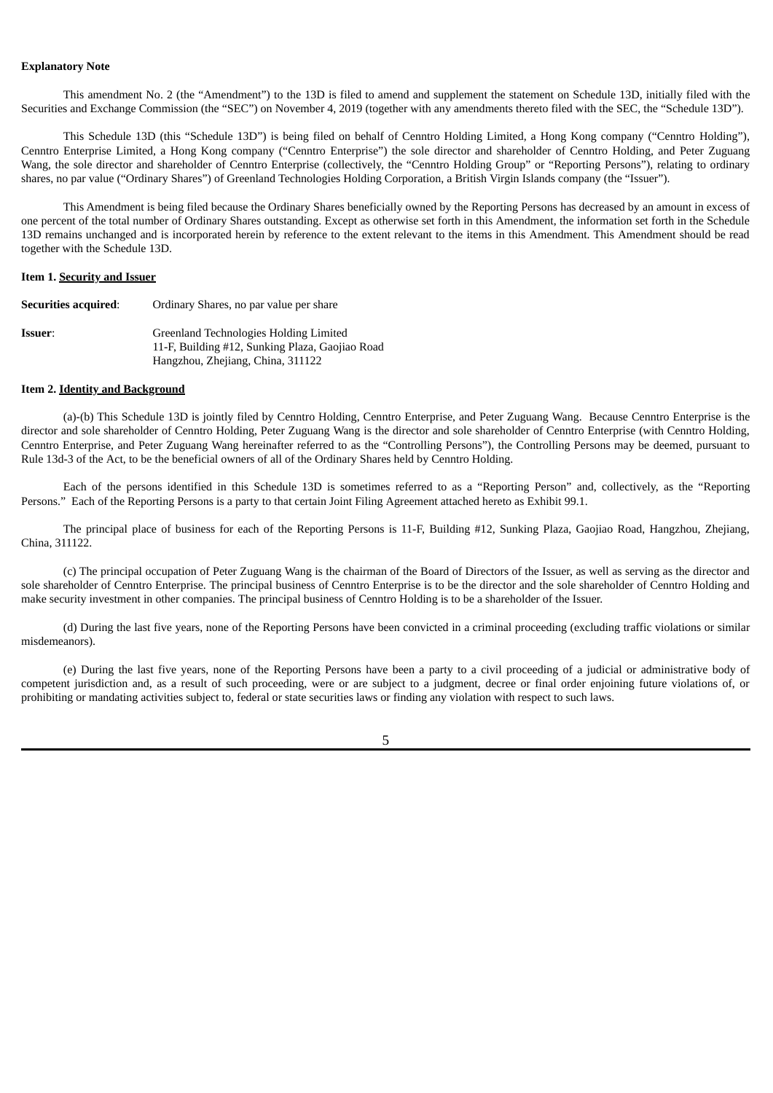#### **Explanatory Note**

This amendment No. 2 (the "Amendment") to the 13D is filed to amend and supplement the statement on Schedule 13D, initially filed with the Securities and Exchange Commission (the "SEC") on November 4, 2019 (together with any amendments thereto filed with the SEC, the "Schedule 13D").

This Schedule 13D (this "Schedule 13D") is being filed on behalf of Cenntro Holding Limited, a Hong Kong company ("Cenntro Holding"), Cenntro Enterprise Limited, a Hong Kong company ("Cenntro Enterprise") the sole director and shareholder of Cenntro Holding, and Peter Zuguang Wang, the sole director and shareholder of Cenntro Enterprise (collectively, the "Cenntro Holding Group" or "Reporting Persons"), relating to ordinary shares, no par value ("Ordinary Shares") of Greenland Technologies Holding Corporation, a British Virgin Islands company (the "Issuer").

This Amendment is being filed because the Ordinary Shares beneficially owned by the Reporting Persons has decreased by an amount in excess of one percent of the total number of Ordinary Shares outstanding. Except as otherwise set forth in this Amendment, the information set forth in the Schedule 13D remains unchanged and is incorporated herein by reference to the extent relevant to the items in this Amendment. This Amendment should be read together with the Schedule 13D.

## **Item 1. Security and Issuer**

| Securities acquired: | Ordinary Shares, no par value per share                                                   |
|----------------------|-------------------------------------------------------------------------------------------|
| <b>Issuer:</b>       | Greenland Technologies Holding Limited<br>11-F, Building #12, Sunking Plaza, Gaojiao Road |
|                      | Hangzhou, Zhejiang, China, 311122                                                         |

#### **Item 2. Identity and Background**

(a)-(b) This Schedule 13D is jointly filed by Cenntro Holding, Cenntro Enterprise, and Peter Zuguang Wang. Because Cenntro Enterprise is the director and sole shareholder of Cenntro Holding, Peter Zuguang Wang is the director and sole shareholder of Cenntro Enterprise (with Cenntro Holding, Cenntro Enterprise, and Peter Zuguang Wang hereinafter referred to as the "Controlling Persons"), the Controlling Persons may be deemed, pursuant to Rule 13d-3 of the Act, to be the beneficial owners of all of the Ordinary Shares held by Cenntro Holding.

Each of the persons identified in this Schedule 13D is sometimes referred to as a "Reporting Person" and, collectively, as the "Reporting Persons." Each of the Reporting Persons is a party to that certain Joint Filing Agreement attached hereto as Exhibit 99.1.

The principal place of business for each of the Reporting Persons is 11-F, Building #12, Sunking Plaza, Gaojiao Road, Hangzhou, Zhejiang, China, 311122.

(c) The principal occupation of Peter Zuguang Wang is the chairman of the Board of Directors of the Issuer, as well as serving as the director and sole shareholder of Cenntro Enterprise. The principal business of Cenntro Enterprise is to be the director and the sole shareholder of Cenntro Holding and make security investment in other companies. The principal business of Cenntro Holding is to be a shareholder of the Issuer.

(d) During the last five years, none of the Reporting Persons have been convicted in a criminal proceeding (excluding traffic violations or similar misdemeanors).

(e) During the last five years, none of the Reporting Persons have been a party to a civil proceeding of a judicial or administrative body of competent jurisdiction and, as a result of such proceeding, were or are subject to a judgment, decree or final order enjoining future violations of, or prohibiting or mandating activities subject to, federal or state securities laws or finding any violation with respect to such laws.

5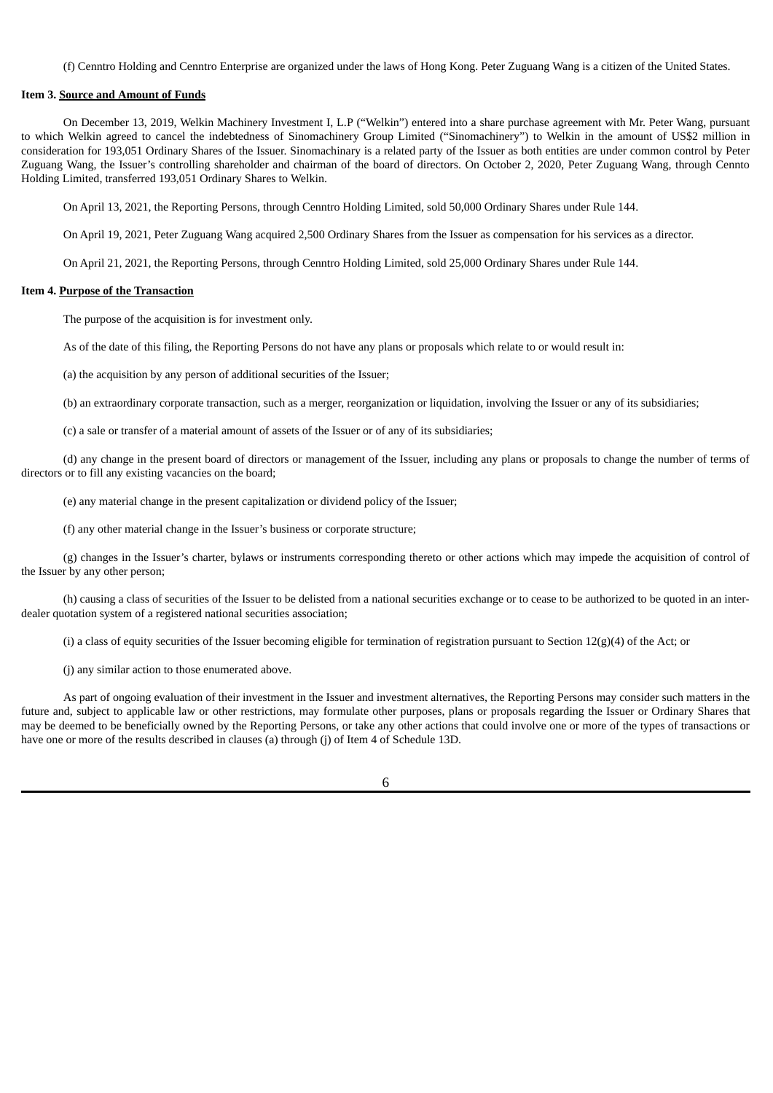(f) Cenntro Holding and Cenntro Enterprise are organized under the laws of Hong Kong. Peter Zuguang Wang is a citizen of the United States.

## **Item 3. Source and Amount of Funds**

On December 13, 2019, Welkin Machinery Investment I, L.P ("Welkin") entered into a share purchase agreement with Mr. Peter Wang, pursuant to which Welkin agreed to cancel the indebtedness of Sinomachinery Group Limited ("Sinomachinery") to Welkin in the amount of US\$2 million in consideration for 193,051 Ordinary Shares of the Issuer. Sinomachinary is a related party of the Issuer as both entities are under common control by Peter Zuguang Wang, the Issuer's controlling shareholder and chairman of the board of directors. On October 2, 2020, Peter Zuguang Wang, through Cennto Holding Limited, transferred 193,051 Ordinary Shares to Welkin.

On April 13, 2021, the Reporting Persons, through Cenntro Holding Limited, sold 50,000 Ordinary Shares under Rule 144.

On April 19, 2021, Peter Zuguang Wang acquired 2,500 Ordinary Shares from the Issuer as compensation for his services as a director.

On April 21, 2021, the Reporting Persons, through Cenntro Holding Limited, sold 25,000 Ordinary Shares under Rule 144.

### **Item 4. Purpose of the Transaction**

The purpose of the acquisition is for investment only.

As of the date of this filing, the Reporting Persons do not have any plans or proposals which relate to or would result in:

(a) the acquisition by any person of additional securities of the Issuer;

(b) an extraordinary corporate transaction, such as a merger, reorganization or liquidation, involving the Issuer or any of its subsidiaries;

(c) a sale or transfer of a material amount of assets of the Issuer or of any of its subsidiaries;

(d) any change in the present board of directors or management of the Issuer, including any plans or proposals to change the number of terms of directors or to fill any existing vacancies on the board;

(e) any material change in the present capitalization or dividend policy of the Issuer;

(f) any other material change in the Issuer's business or corporate structure;

(g) changes in the Issuer's charter, bylaws or instruments corresponding thereto or other actions which may impede the acquisition of control of the Issuer by any other person;

(h) causing a class of securities of the Issuer to be delisted from a national securities exchange or to cease to be authorized to be quoted in an interdealer quotation system of a registered national securities association;

(i) a class of equity securities of the Issuer becoming eligible for termination of registration pursuant to Section  $12(g)(4)$  of the Act; or

(j) any similar action to those enumerated above.

As part of ongoing evaluation of their investment in the Issuer and investment alternatives, the Reporting Persons may consider such matters in the future and, subject to applicable law or other restrictions, may formulate other purposes, plans or proposals regarding the Issuer or Ordinary Shares that may be deemed to be beneficially owned by the Reporting Persons, or take any other actions that could involve one or more of the types of transactions or have one or more of the results described in clauses (a) through (j) of Item 4 of Schedule 13D.

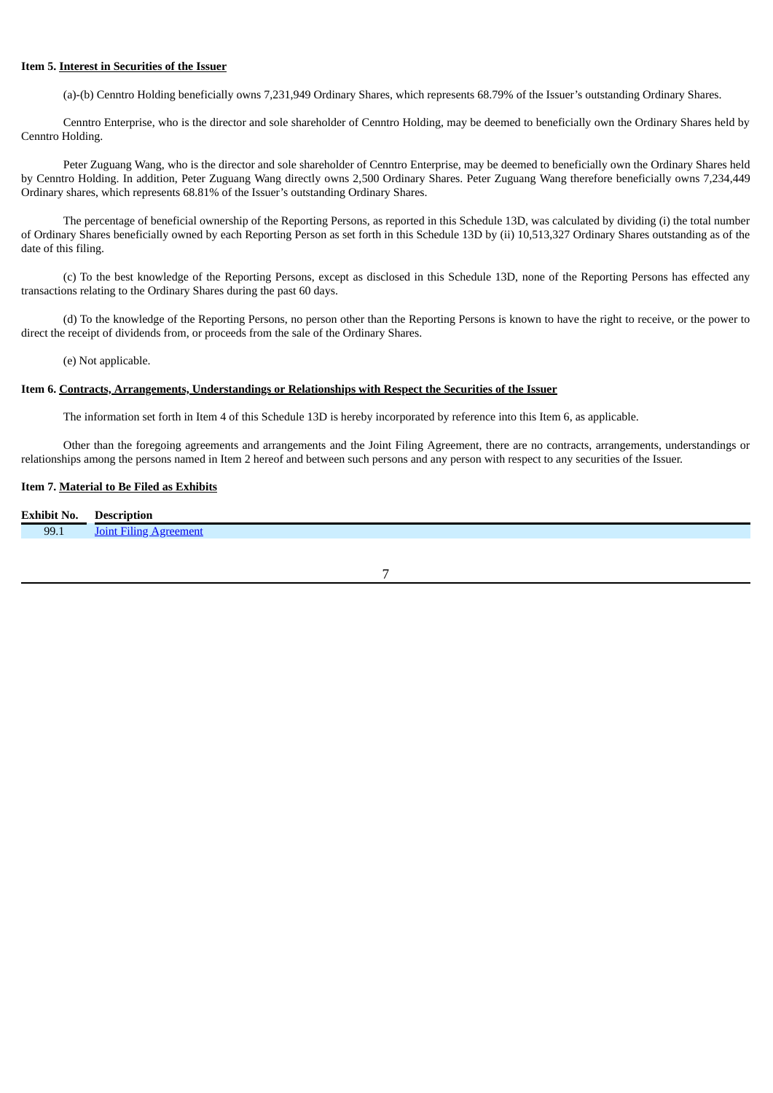#### **Item 5. Interest in Securities of the Issuer**

(a)-(b) Cenntro Holding beneficially owns 7,231,949 Ordinary Shares, which represents 68.79% of the Issuer's outstanding Ordinary Shares.

Cenntro Enterprise, who is the director and sole shareholder of Cenntro Holding, may be deemed to beneficially own the Ordinary Shares held by Cenntro Holding.

Peter Zuguang Wang, who is the director and sole shareholder of Cenntro Enterprise, may be deemed to beneficially own the Ordinary Shares held by Cenntro Holding. In addition, Peter Zuguang Wang directly owns 2,500 Ordinary Shares. Peter Zuguang Wang therefore beneficially owns 7,234,449 Ordinary shares, which represents 68.81% of the Issuer's outstanding Ordinary Shares.

The percentage of beneficial ownership of the Reporting Persons, as reported in this Schedule 13D, was calculated by dividing (i) the total number of Ordinary Shares beneficially owned by each Reporting Person as set forth in this Schedule 13D by (ii) 10,513,327 Ordinary Shares outstanding as of the date of this filing.

(c) To the best knowledge of the Reporting Persons, except as disclosed in this Schedule 13D, none of the Reporting Persons has effected any transactions relating to the Ordinary Shares during the past 60 days.

(d) To the knowledge of the Reporting Persons, no person other than the Reporting Persons is known to have the right to receive, or the power to direct the receipt of dividends from, or proceeds from the sale of the Ordinary Shares.

(e) Not applicable.

#### **Item 6. Contracts, Arrangements, Understandings or Relationships with Respect the Securities of the Issuer**

The information set forth in Item 4 of this Schedule 13D is hereby incorporated by reference into this Item 6, as applicable.

Other than the foregoing agreements and arrangements and the Joint Filing Agreement, there are no contracts, arrangements, understandings or relationships among the persons named in Item 2 hereof and between such persons and any person with respect to any securities of the Issuer.

### **Item 7. Material to Be Filed as Exhibits**

| <b>Exhibit No.</b> | tion.<br>IАC |
|--------------------|--------------|
| 99.1               | Ioii         |
|                    |              |

7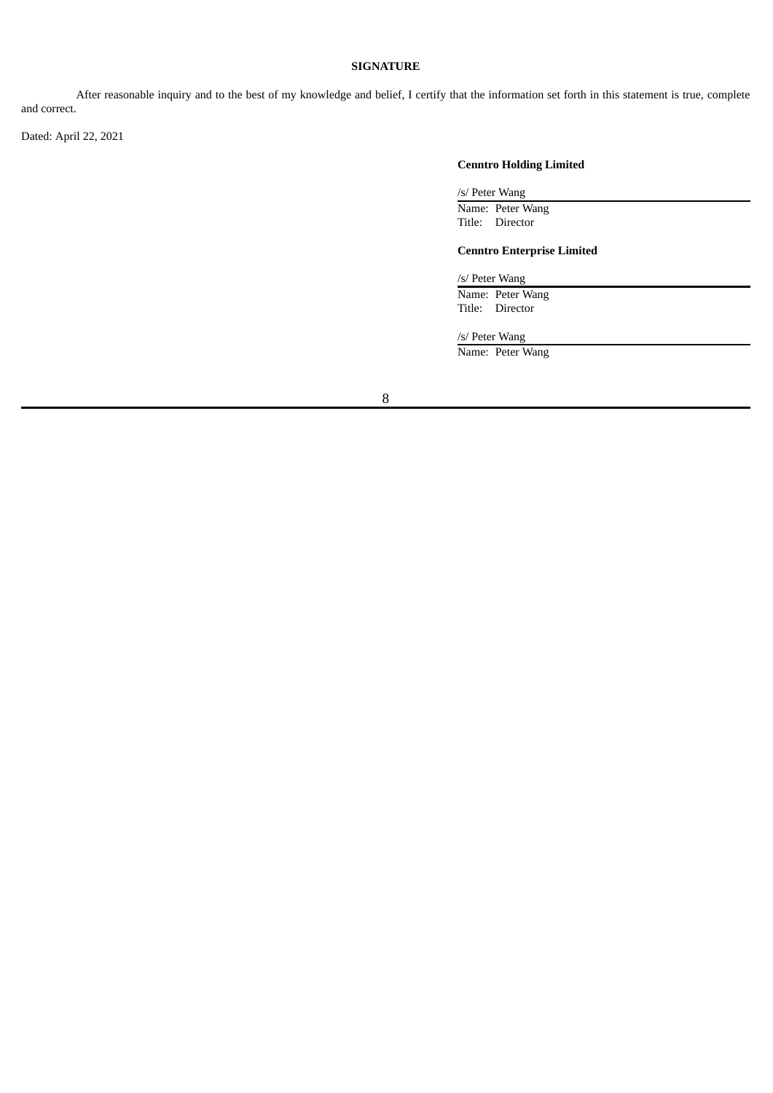# **SIGNATURE**

After reasonable inquiry and to the best of my knowledge and belief, I certify that the information set forth in this statement is true, complete and correct.

Dated: April 22, 2021

# **Cenntro Holding Limited**

/s/ Peter Wang

Name: Peter Wang Title: Director

# **Cenntro Enterprise Limited**

/s/ Peter Wang

Name: Peter Wang Title: Director

/s/ Peter Wang

Name: Peter Wang